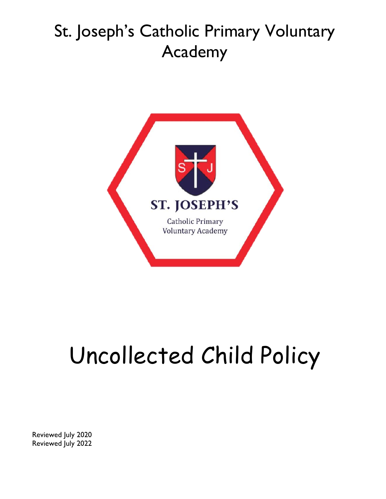

# Uncollected Child Policy

Reviewed July 2020 Reviewed July 2022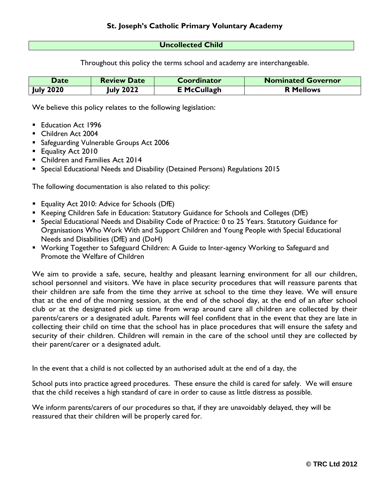#### **Uncollected Child**

Throughout this policy the terms school and academy are interchangeable.

| <b>Date</b>      | <b>Review Date</b> | <b>Coordinator</b> | <b>Nominated Governor</b> |
|------------------|--------------------|--------------------|---------------------------|
| <b>July 2020</b> | <b>July 2022</b>   | <b>E</b> McCullagh | <b>R</b> Mellows          |

We believe this policy relates to the following legislation:

- **Education Act 1996**
- Children Act 2004
- **Safeguarding Vulnerable Groups Act 2006**
- **Equality Act 2010**
- **Children and Families Act 2014**
- Special Educational Needs and Disability (Detained Persons) Regulations 2015

The following documentation is also related to this policy:

- **Equality Act 2010: Advice for Schools (DfE)**
- **Keeping Children Safe in Education: Statutory Guidance for Schools and Colleges (DfE)**
- Special Educational Needs and Disability Code of Practice: 0 to 25 Years. Statutory Guidance for Organisations Who Work With and Support Children and Young People with Special Educational Needs and Disabilities (DfE) and (DoH)
- Working Together to Safeguard Children: A Guide to Inter-agency Working to Safeguard and Promote the Welfare of Children

We aim to provide a safe, secure, healthy and pleasant learning environment for all our children, school personnel and visitors. We have in place security procedures that will reassure parents that their children are safe from the time they arrive at school to the time they leave. We will ensure that at the end of the morning session, at the end of the school day, at the end of an after school club or at the designated pick up time from wrap around care all children are collected by their parents/carers or a designated adult. Parents will feel confident that in the event that they are late in collecting their child on time that the school has in place procedures that will ensure the safety and security of their children. Children will remain in the care of the school until they are collected by their parent/carer or a designated adult.

In the event that a child is not collected by an authorised adult at the end of a day, the

School puts into practice agreed procedures. These ensure the child is cared for safely. We will ensure that the child receives a high standard of care in order to cause as little distress as possible.

We inform parents/carers of our procedures so that, if they are unavoidably delayed, they will be reassured that their children will be properly cared for.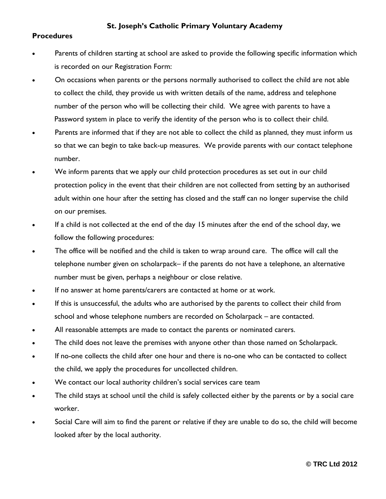#### **Procedures**

- Parents of children starting at school are asked to provide the following specific information which is recorded on our Registration Form:
- On occasions when parents or the persons normally authorised to collect the child are not able to collect the child, they provide us with written details of the name, address and telephone number of the person who will be collecting their child. We agree with parents to have a Password system in place to verify the identity of the person who is to collect their child.
- Parents are informed that if they are not able to collect the child as planned, they must inform us so that we can begin to take back-up measures. We provide parents with our contact telephone number.
- We inform parents that we apply our child protection procedures as set out in our child protection policy in the event that their children are not collected from setting by an authorised adult within one hour after the setting has closed and the staff can no longer supervise the child on our premises.
- If a child is not collected at the end of the day 15 minutes after the end of the school day, we follow the following procedures:
- The office will be notified and the child is taken to wrap around care. The office will call the telephone number given on scholarpack– if the parents do not have a telephone, an alternative number must be given, perhaps a neighbour or close relative.
- If no answer at home parents/carers are contacted at home or at work.
- If this is unsuccessful, the adults who are authorised by the parents to collect their child from school and whose telephone numbers are recorded on Scholarpack – are contacted.
- All reasonable attempts are made to contact the parents or nominated carers.
- The child does not leave the premises with anyone other than those named on Scholarpack.
- If no-one collects the child after one hour and there is no-one who can be contacted to collect the child, we apply the procedures for uncollected children.
- We contact our local authority children's social services care team
- The child stays at school until the child is safely collected either by the parents or by a social care worker.
- Social Care will aim to find the parent or relative if they are unable to do so, the child will become looked after by the local authority.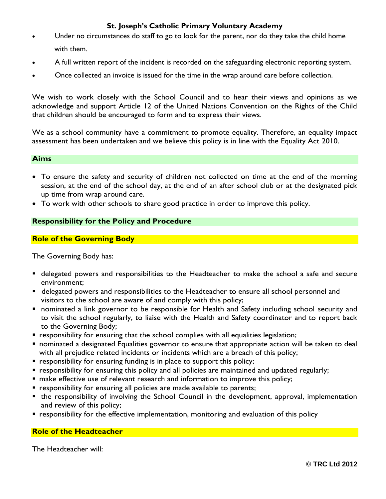- Under no circumstances do staff to go to look for the parent, nor do they take the child home with them.
- A full written report of the incident is recorded on the safeguarding electronic reporting system.
- Once collected an invoice is issued for the time in the wrap around care before collection.

We wish to work closely with the School Council and to hear their views and opinions as we acknowledge and support Article 12 of the United Nations Convention on the Rights of the Child that children should be encouraged to form and to express their views.

We as a school community have a commitment to promote equality. Therefore, an equality impact assessment has been undertaken and we believe this policy is in line with the Equality Act 2010.

#### **Aims**

- To ensure the safety and security of children not collected on time at the end of the morning session, at the end of the school day, at the end of an after school club or at the designated pick up time from wrap around care.
- To work with other schools to share good practice in order to improve this policy.

#### **Responsibility for the Policy and Procedure**

#### **Role of the Governing Body**

The Governing Body has:

- delegated powers and responsibilities to the Headteacher to make the school a safe and secure environment;
- delegated powers and responsibilities to the Headteacher to ensure all school personnel and visitors to the school are aware of and comply with this policy;
- nominated a link governor to be responsible for Health and Safety including school security and to visit the school regularly, to liaise with the Health and Safety coordinator and to report back to the Governing Body;
- responsibility for ensuring that the school complies with all equalities legislation;
- nominated a designated Equalities governor to ensure that appropriate action will be taken to deal with all prejudice related incidents or incidents which are a breach of this policy;
- **•** responsibility for ensuring funding is in place to support this policy;
- responsibility for ensuring this policy and all policies are maintained and updated regularly;
- make effective use of relevant research and information to improve this policy;
- **•** responsibility for ensuring all policies are made available to parents;
- the responsibility of involving the School Council in the development, approval, implementation and review of this policy;
- **•** responsibility for the effective implementation, monitoring and evaluation of this policy

#### **Role of the Headteacher**

The Headteacher will: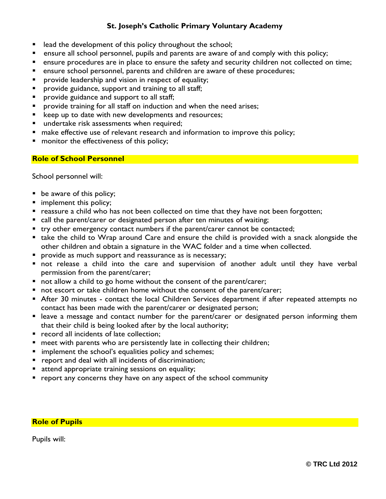- **EXT** lead the development of this policy throughout the school;
- ensure all school personnel, pupils and parents are aware of and comply with this policy;
- ensure procedures are in place to ensure the safety and security children not collected on time;
- ensure school personnel, parents and children are aware of these procedures;
- provide leadership and vision in respect of equality;
- provide guidance, support and training to all staff;
- **Perovide guidance and support to all staff;**
- **Perovide training for all staff on induction and when the need arises;**
- E keep up to date with new developments and resources;
- undertake risk assessments when required;
- make effective use of relevant research and information to improve this policy;
- **number 1** monitor the effectiveness of this policy;

#### **Role of School Personnel**

School personnel will:

- be aware of this policy;
- **n** implement this policy;
- **•** reassure a child who has not been collected on time that they have not been forgotten;
- call the parent/carer or designated person after ten minutes of waiting;
- try other emergency contact numbers if the parent/carer cannot be contacted;
- take the child to Wrap around Care and ensure the child is provided with a snack alongside the other children and obtain a signature in the WAC folder and a time when collected.
- **Perovide as much support and reassurance as is necessary;**
- not release a child into the care and supervision of another adult until they have verbal permission from the parent/carer;
- not allow a child to go home without the consent of the parent/carer;
- not escort or take children home without the consent of the parent/carer;
- After 30 minutes contact the local Children Services department if after repeated attempts no contact has been made with the parent/carer or designated person;
- leave a message and contact number for the parent/carer or designated person informing them that their child is being looked after by the local authority;
- record all incidents of late collection;
- **neet with parents who are persistently late in collecting their children;**
- **IF** implement the school's equalities policy and schemes;
- **P** report and deal with all incidents of discrimination;
- **E** attend appropriate training sessions on equality;
- $\blacksquare$  report any concerns they have on any aspect of the school community

#### **Role of Pupils**

Pupils will: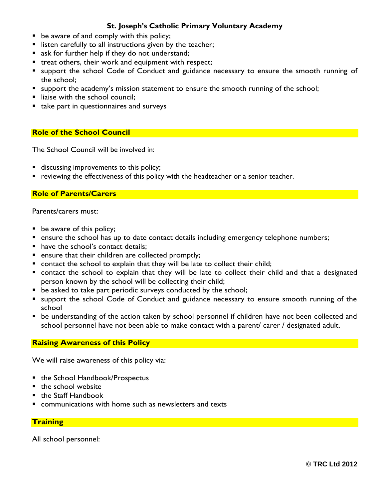- **•** be aware of and comply with this policy;
- **IF** listen carefully to all instructions given by the teacher;
- s ask for further help if they do not understand;
- treat others, their work and equipment with respect;
- support the school Code of Conduct and guidance necessary to ensure the smooth running of the school;
- **support the academy's mission statement to ensure the smooth running of the school;**
- liaise with the school council;
- take part in questionnaires and surveys

#### **Role of the School Council**

The School Council will be involved in:

- **discussing improvements to this policy;**
- **•** reviewing the effectiveness of this policy with the headteacher or a senior teacher.

#### **Role of Parents/Carers**

Parents/carers must:

- **be aware of this policy;**
- **EXT** ensure the school has up to date contact details including emergency telephone numbers;
- **have the school's contact details;**
- **E** ensure that their children are collected promptly;
- contact the school to explain that they will be late to collect their child;
- contact the school to explain that they will be late to collect their child and that a designated person known by the school will be collecting their child;
- **•** be asked to take part periodic surveys conducted by the school;
- **support the school Code of Conduct and guidance necessary to ensure smooth running of the** school
- be understanding of the action taken by school personnel if children have not been collected and school personnel have not been able to make contact with a parent/ carer / designated adult.

#### **Raising Awareness of this Policy**

We will raise awareness of this policy via:

- the School Handbook/Prospectus
- $\blacksquare$  the school website
- the Staff Handbook
- communications with home such as newsletters and texts

#### **Training**

All school personnel: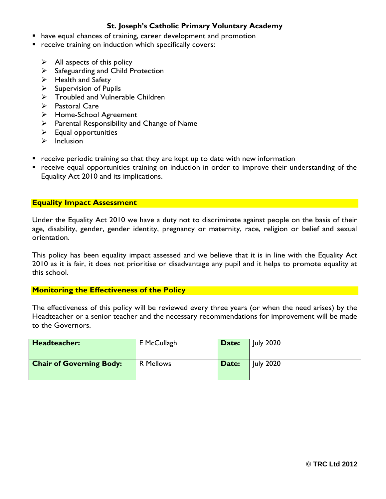- have equal chances of training, career development and promotion
- **•** receive training on induction which specifically covers:
	- $\triangleright$  All aspects of this policy
	- $\triangleright$  Safeguarding and Child Protection
	- $\triangleright$  Health and Safety
	- $\triangleright$  Supervision of Pupils
	- $\triangleright$  Troubled and Vulnerable Children
	- $\triangleright$  Pastoral Care
	- Home-School Agreement
	- $\triangleright$  Parental Responsibility and Change of Name
	- $\triangleright$  Equal opportunities
	- $\triangleright$  Inclusion
- $\blacksquare$  receive periodic training so that they are kept up to date with new information
- receive equal opportunities training on induction in order to improve their understanding of the Equality Act 2010 and its implications.

#### **Equality Impact Assessment**

Under the Equality Act 2010 we have a duty not to discriminate against people on the basis of their age, disability, gender, gender identity, pregnancy or maternity, race, religion or belief and sexual orientation.

This policy has been equality impact assessed and we believe that it is in line with the Equality Act 2010 as it is fair, it does not prioritise or disadvantage any pupil and it helps to promote equality at this school.

#### **Monitoring the Effectiveness of the Policy**

The effectiveness of this policy will be reviewed every three years (or when the need arises) by the Headteacher or a senior teacher and the necessary recommendations for improvement will be made to the Governors.

| Headteacher:                    | E McCullagh      | Date: | <b>July 2020</b> |
|---------------------------------|------------------|-------|------------------|
| <b>Chair of Governing Body:</b> | <b>R</b> Mellows | Date: | <b>July 2020</b> |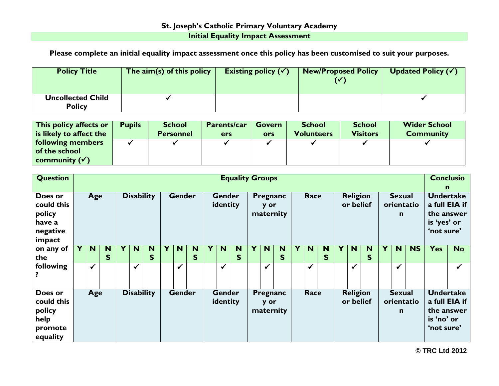## **St. Joseph's Catholic Primary Voluntary Academy Initial Equality Impact Assessment**

**Please complete an initial equality impact assessment once this policy has been customised to suit your purposes.**

| <b>Policy Title</b>                       | The $\dim(s)$ of this policy | Existing policy $(\checkmark)$ | <b>New/Proposed Policy</b> | Updated Policy $(\checkmark)$ |
|-------------------------------------------|------------------------------|--------------------------------|----------------------------|-------------------------------|
| <b>Uncollected Child</b><br><b>Policy</b> |                              |                                |                            |                               |

| This policy affects or   | <b>Pupils</b> | <b>School</b>    | <b>Parents/car</b> | Govern | <b>School</b>     | <b>School</b>   | <b>Wider School</b> |
|--------------------------|---------------|------------------|--------------------|--------|-------------------|-----------------|---------------------|
| is likely to affect the  |               | <b>Personnel</b> | <b>ers</b>         | ors    | <b>Volunteers</b> | <b>Visitors</b> | <b>Community</b>    |
| <b>following members</b> |               |                  |                    |        |                   |                 |                     |
| of the school            |               |                  |                    |        |                   |                 |                     |
| community $(\checkmark)$ |               |                  |                    |        |                   |                 |                     |

| <b>Question</b>                                                 | <b>Equality Groups</b> |              |        |  |                   |        |  |               |        |                           |                           |        | <b>Conclusio</b> |                               |                       |   |              |        |                                                                            |                              |        |   |                               |            |                                                                              |              |
|-----------------------------------------------------------------|------------------------|--------------|--------|--|-------------------|--------|--|---------------|--------|---------------------------|---------------------------|--------|------------------|-------------------------------|-----------------------|---|--------------|--------|----------------------------------------------------------------------------|------------------------------|--------|---|-------------------------------|------------|------------------------------------------------------------------------------|--------------|
|                                                                 |                        |              |        |  |                   |        |  |               |        |                           |                           |        | n                |                               |                       |   |              |        |                                                                            |                              |        |   |                               |            |                                                                              |              |
| Does or<br>could this<br>policy<br>have a<br>negative<br>impact |                        | Age          |        |  | <b>Disability</b> |        |  | <b>Gender</b> |        |                           | <b>Gender</b><br>identity |        |                  | Pregnanc<br>y or<br>maternity |                       |   | Race         |        |                                                                            | <b>Religion</b><br>or belief |        |   | <b>Sexual</b><br>$\mathsf{n}$ | orientatio | <b>Undertake</b><br>a full EIA if<br>the answer<br>is 'yes' or<br>'not sure' |              |
| on any of<br>the                                                | Y                      | <b>N</b>     | N<br>S |  | N                 | N<br>S |  | N             | N<br>S |                           | N                         | N<br>S |                  | N                             | N<br>$\mathsf{S}$     | Y | <b>N</b>     | N<br>S | Υ                                                                          | N <sub>1</sub>               | N<br>S | Y | N                             | <b>NS</b>  | <b>Yes</b>                                                                   | <b>No</b>    |
| following                                                       |                        | $\checkmark$ |        |  | $\checkmark$      |        |  | ✓             |        |                           | $\checkmark$              |        |                  | $\checkmark$                  |                       |   | $\checkmark$ |        |                                                                            | $\checkmark$                 |        |   | $\checkmark$                  |            |                                                                              | $\checkmark$ |
| Does or<br>could this<br>policy<br>help<br>promote<br>equality  |                        | Age          |        |  | <b>Disability</b> |        |  | <b>Gender</b> |        | <b>Gender</b><br>identity |                           |        |                  | y or                          | Pregnanc<br>maternity |   | Race         |        | <b>Religion</b><br><b>Sexual</b><br>or belief<br>orientatio<br>$\mathbf n$ |                              |        |   |                               |            | <b>Undertake</b><br>a full EIA if<br>the answer<br>is 'no' or<br>'not sure'  |              |

**© TRC Ltd 2012**